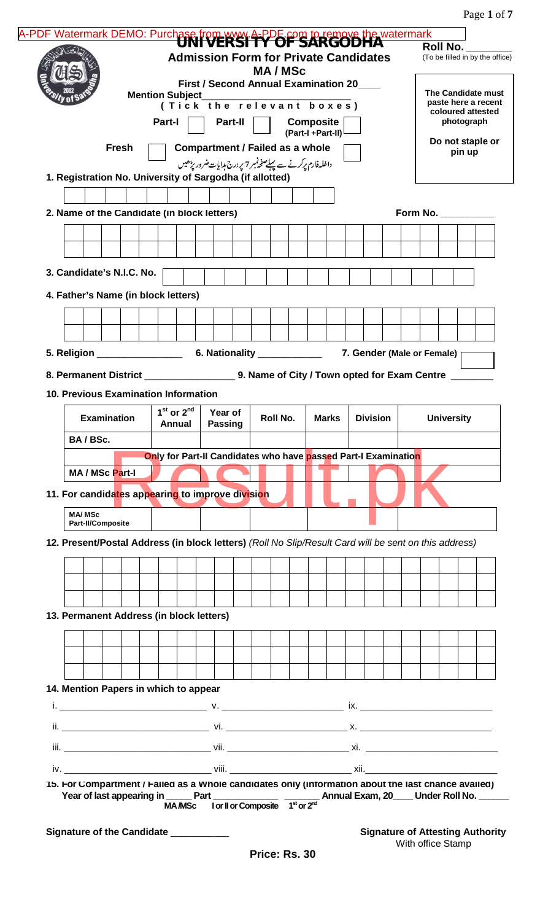Page **1** of **7**

|               |                                                                                                       |                        |                | <b>First / Second Annual Examination 20</b>                    |         | <b>MA/MSc</b> |                  |  | <b>Admission Form for Private Candidates</b> |          |                                           | (To be filled in by the office) |  |
|---------------|-------------------------------------------------------------------------------------------------------|------------------------|----------------|----------------------------------------------------------------|---------|---------------|------------------|--|----------------------------------------------|----------|-------------------------------------------|---------------------------------|--|
|               |                                                                                                       | <b>Mention Subject</b> |                | (Tick the relevant boxes)                                      |         |               |                  |  |                                              |          | The Candidate must<br>paste here a recent |                                 |  |
|               |                                                                                                       | Part-I                 |                |                                                                | Part-II |               | Composite        |  |                                              |          | coloured attested                         | photograph                      |  |
|               | <b>Fresh</b>                                                                                          |                        |                | <b>Compartment / Failed as a whole</b>                         |         |               | (Part-I+Part-II) |  |                                              |          | Do not staple or                          | pin up                          |  |
|               | 1. Registration No. University of Sargodha (if allotted)                                              |                        |                | داخلہ فارم پرکرنے سے پہلے صفحہ نہر 7 پر درج ہدایات ضرور بڑھیں  |         |               |                  |  |                                              |          |                                           |                                 |  |
|               |                                                                                                       |                        |                |                                                                |         |               |                  |  |                                              |          |                                           |                                 |  |
|               | 2. Name of the Candidate (in block letters)                                                           |                        |                |                                                                |         |               |                  |  |                                              | Form No. |                                           |                                 |  |
|               |                                                                                                       |                        |                |                                                                |         |               |                  |  |                                              |          |                                           |                                 |  |
|               |                                                                                                       |                        |                |                                                                |         |               |                  |  |                                              |          |                                           |                                 |  |
|               | 3. Candidate's N.I.C. No.                                                                             |                        |                |                                                                |         |               |                  |  |                                              |          |                                           |                                 |  |
|               | 4. Father's Name (in block letters)                                                                   |                        |                |                                                                |         |               |                  |  |                                              |          |                                           |                                 |  |
|               |                                                                                                       |                        |                |                                                                |         |               |                  |  |                                              |          |                                           |                                 |  |
|               |                                                                                                       |                        |                |                                                                |         |               |                  |  |                                              |          |                                           |                                 |  |
|               |                                                                                                       |                        |                |                                                                |         |               |                  |  | 7. Gender (Male or Female)                   |          |                                           |                                 |  |
|               |                                                                                                       |                        |                |                                                                |         |               |                  |  |                                              |          |                                           |                                 |  |
|               |                                                                                                       |                        |                |                                                                |         |               |                  |  |                                              |          |                                           |                                 |  |
|               | <b>10. Previous Examination Information</b>                                                           |                        |                |                                                                |         |               |                  |  |                                              |          |                                           |                                 |  |
|               | <b>Examination</b>                                                                                    |                        | $1st$ or $2nd$ | Year of                                                        |         | Roll No.      | <b>Marks</b>     |  | <b>Division</b>                              |          | <b>University</b>                         |                                 |  |
|               |                                                                                                       |                        | Annual         | <b>Passing</b>                                                 |         |               |                  |  |                                              |          |                                           |                                 |  |
| BA/BSc.       |                                                                                                       |                        |                | Only for Part-II Candidates who have passed Part-I Examination |         |               |                  |  |                                              |          |                                           |                                 |  |
|               | MA / MSc Part-I                                                                                       |                        |                |                                                                |         |               |                  |  |                                              |          |                                           |                                 |  |
|               | 11. For candidates appearing to improve division                                                      |                        |                |                                                                |         |               |                  |  |                                              |          |                                           |                                 |  |
| <b>MA/MSc</b> | <b>Part-II/Composite</b>                                                                              |                        |                |                                                                |         |               |                  |  |                                              |          |                                           |                                 |  |
|               | 12. Present/Postal Address (in block letters) (Roll No Slip/Result Card will be sent on this address) |                        |                |                                                                |         |               |                  |  |                                              |          |                                           |                                 |  |
|               |                                                                                                       |                        |                |                                                                |         |               |                  |  |                                              |          |                                           |                                 |  |
|               |                                                                                                       |                        |                |                                                                |         |               |                  |  |                                              |          |                                           |                                 |  |
|               |                                                                                                       |                        |                |                                                                |         |               |                  |  |                                              |          |                                           |                                 |  |
|               | 13. Permanent Address (in block letters)                                                              |                        |                |                                                                |         |               |                  |  |                                              |          |                                           |                                 |  |
|               |                                                                                                       |                        |                |                                                                |         |               |                  |  |                                              |          |                                           |                                 |  |
|               |                                                                                                       |                        |                |                                                                |         |               |                  |  |                                              |          |                                           |                                 |  |
|               |                                                                                                       |                        |                |                                                                |         |               |                  |  |                                              |          |                                           |                                 |  |
|               | 14. Mention Papers in which to appear                                                                 |                        |                |                                                                |         |               |                  |  |                                              |          |                                           |                                 |  |
|               |                                                                                                       |                        |                |                                                                |         |               |                  |  |                                              |          |                                           |                                 |  |
|               |                                                                                                       |                        |                |                                                                |         |               |                  |  |                                              |          |                                           |                                 |  |
|               |                                                                                                       |                        |                |                                                                |         |               |                  |  |                                              |          |                                           |                                 |  |
|               |                                                                                                       |                        |                |                                                                |         |               |                  |  |                                              |          |                                           |                                 |  |
|               | 15. For Compartment / Failed as a Whole candidates only (information about the last chance availed)   |                        |                |                                                                |         |               |                  |  |                                              |          |                                           |                                 |  |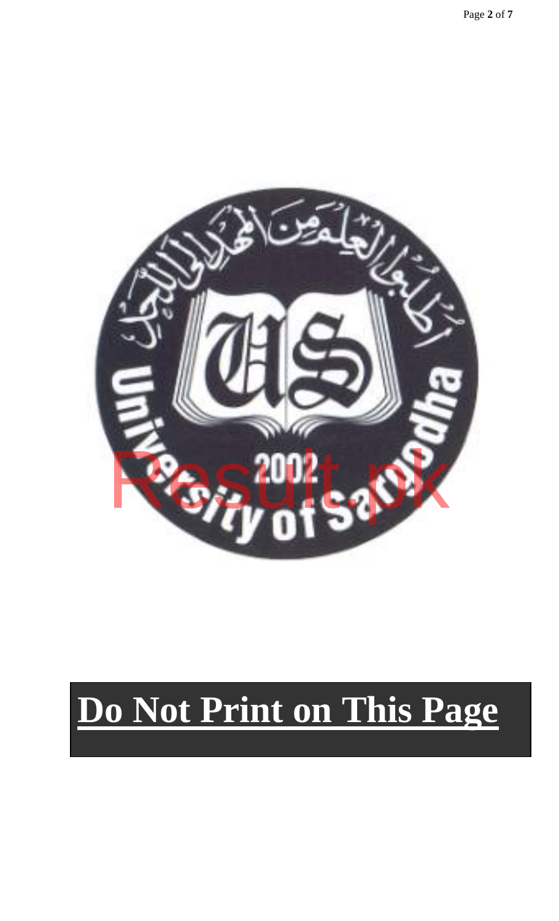

# **Do Not Print on This Page**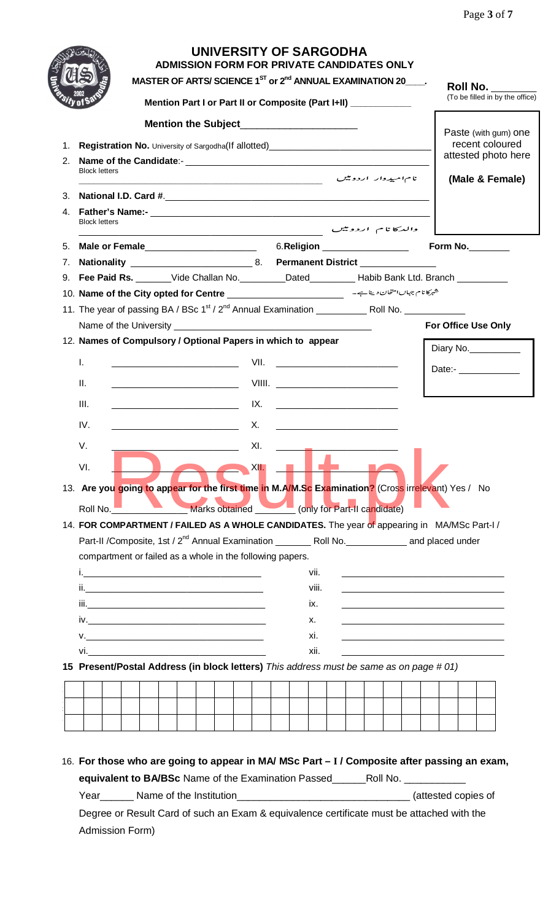Page **3** of **7**

|    |                                                                                                                                                                                                                                      | ADMISSION FORM FOR PRIVATE CANDIDATES ONLY<br>MASTER OF ARTS/SCIENCE $1^{ST}$ or $2^{nd}$ ANNUAL EXAMINATION 20 $\qquad$ .<br>Mention Part I or Part II or Composite (Part I+II) ____________ | UNIVERSITY OF SARGODHA                               |                                         |  |  | <b>Roll No.</b> ______<br>(To be filled in by the office) |
|----|--------------------------------------------------------------------------------------------------------------------------------------------------------------------------------------------------------------------------------------|-----------------------------------------------------------------------------------------------------------------------------------------------------------------------------------------------|------------------------------------------------------|-----------------------------------------|--|--|-----------------------------------------------------------|
|    |                                                                                                                                                                                                                                      |                                                                                                                                                                                               |                                                      |                                         |  |  |                                                           |
| 1. | Registration No. University of Sargodha(If allotted)_____________________________                                                                                                                                                    |                                                                                                                                                                                               |                                                      |                                         |  |  | Paste (with gum) one<br>recent coloured                   |
| 2. |                                                                                                                                                                                                                                      |                                                                                                                                                                                               |                                                      |                                         |  |  | attested photo here                                       |
|    | <b>Block letters</b>                                                                                                                                                                                                                 |                                                                                                                                                                                               | نام امیدوار اردومیں مسلسل کے استعمال کرنے کے استعمال |                                         |  |  | (Male & Female)                                           |
| 3. |                                                                                                                                                                                                                                      |                                                                                                                                                                                               |                                                      |                                         |  |  |                                                           |
| 4. | <b>Block letters</b>                                                                                                                                                                                                                 | والدكانام اردونيس فسيستقصص المستقصص المستقصص                                                                                                                                                  |                                                      |                                         |  |  |                                                           |
| 5. |                                                                                                                                                                                                                                      |                                                                                                                                                                                               |                                                      | 6.Religion 2004                         |  |  | Form No.                                                  |
| 7. |                                                                                                                                                                                                                                      |                                                                                                                                                                                               |                                                      |                                         |  |  |                                                           |
| 9. | Fee Paid Rs. _______Vide Challan No. _________Dated__________Habib Bank Ltd. Branch ______________                                                                                                                                   |                                                                                                                                                                                               |                                                      |                                         |  |  |                                                           |
|    | شهركا نام جهاں المتحان دينا ہے - سیسسسسسسسسسسسسسسسست 10. <b>Name of the City opted for Centre</b>                                                                                                                                    |                                                                                                                                                                                               |                                                      |                                         |  |  |                                                           |
|    |                                                                                                                                                                                                                                      |                                                                                                                                                                                               |                                                      |                                         |  |  |                                                           |
|    |                                                                                                                                                                                                                                      |                                                                                                                                                                                               |                                                      |                                         |  |  | For Office Use Only                                       |
|    | 12. Names of Compulsory / Optional Papers in which to appear                                                                                                                                                                         |                                                                                                                                                                                               |                                                      |                                         |  |  |                                                           |
|    |                                                                                                                                                                                                                                      |                                                                                                                                                                                               |                                                      |                                         |  |  | Diary No.                                                 |
|    | $\mathbf{L}$                                                                                                                                                                                                                         | <u> 1989 - Johann Harry Harry Harry Harry Harry Harry Harry Harry Harry Harry Harry Harry Harry Harry Harry Harry</u>                                                                         |                                                      | VII. <u>___________________________</u> |  |  | Date:- _____________                                      |
|    | Ш.                                                                                                                                                                                                                                   |                                                                                                                                                                                               |                                                      |                                         |  |  |                                                           |
|    | III.                                                                                                                                                                                                                                 | <u> IX. Januari 1999 - IX. Januari 1999 - IX. Januari 1999 - IX. Januari 1999 - IX. Januari 1999 - IX. Januari 19</u>                                                                         |                                                      |                                         |  |  |                                                           |
|    |                                                                                                                                                                                                                                      |                                                                                                                                                                                               |                                                      |                                         |  |  |                                                           |
|    | IV.                                                                                                                                                                                                                                  |                                                                                                                                                                                               |                                                      |                                         |  |  |                                                           |
|    | V.                                                                                                                                                                                                                                   |                                                                                                                                                                                               | XI.                                                  |                                         |  |  |                                                           |
|    | VI.                                                                                                                                                                                                                                  |                                                                                                                                                                                               | XII.                                                 |                                         |  |  |                                                           |
|    |                                                                                                                                                                                                                                      |                                                                                                                                                                                               |                                                      |                                         |  |  |                                                           |
|    | 13. Are you going to appear for the first time in M.A/M.Sc Examination? (Cross irrelevant) Yes / No                                                                                                                                  |                                                                                                                                                                                               |                                                      |                                         |  |  |                                                           |
|    | Roll No.                                                                                                                                                                                                                             |                                                                                                                                                                                               | Marks obtained                                       | (only for Part-II candidate)            |  |  |                                                           |
|    | 14. FOR COMPARTMENT / FAILED AS A WHOLE CANDIDATES. The year of appearing in MA/MSc Part-I/                                                                                                                                          |                                                                                                                                                                                               |                                                      |                                         |  |  |                                                           |
|    |                                                                                                                                                                                                                                      |                                                                                                                                                                                               |                                                      |                                         |  |  |                                                           |
|    | compartment or failed as a whole in the following papers.                                                                                                                                                                            |                                                                                                                                                                                               |                                                      |                                         |  |  |                                                           |
|    |                                                                                                                                                                                                                                      |                                                                                                                                                                                               |                                                      | vii.                                    |  |  |                                                           |
|    |                                                                                                                                                                                                                                      |                                                                                                                                                                                               |                                                      | viii.                                   |  |  |                                                           |
|    |                                                                                                                                                                                                                                      |                                                                                                                                                                                               |                                                      | IX.                                     |  |  |                                                           |
|    |                                                                                                                                                                                                                                      |                                                                                                                                                                                               |                                                      | х.                                      |  |  |                                                           |
|    | V.                                                                                                                                                                                                                                   |                                                                                                                                                                                               |                                                      | xi.                                     |  |  |                                                           |
|    | vi. <u>In the second contract of the second contract of the second contract of the second contract of the second contract of the second contract of the second contract of the second contract of the second contract of the sec</u> |                                                                                                                                                                                               |                                                      | xii.                                    |  |  |                                                           |
|    |                                                                                                                                                                                                                                      |                                                                                                                                                                                               |                                                      |                                         |  |  |                                                           |
|    |                                                                                                                                                                                                                                      |                                                                                                                                                                                               |                                                      |                                         |  |  |                                                           |
|    | 15 Present/Postal Address (in block letters) This address must be same as on page #01)                                                                                                                                               |                                                                                                                                                                                               |                                                      |                                         |  |  |                                                           |
|    |                                                                                                                                                                                                                                      |                                                                                                                                                                                               |                                                      |                                         |  |  |                                                           |
|    |                                                                                                                                                                                                                                      |                                                                                                                                                                                               |                                                      |                                         |  |  |                                                           |

#### 16. **For those who are going to appear in MA/ MSc Part – I / Composite after passing an exam, equivalent to BA/BSc** Name of the Examination Passed\_\_\_\_\_\_Roll No. \_\_\_\_\_\_\_\_\_\_\_ Year\_\_\_\_\_\_ Name of the Institution\_\_\_\_\_\_\_\_\_\_\_\_\_\_\_\_\_\_\_\_\_\_\_\_\_\_\_\_\_\_\_ (attested copies of

Degree or Result Card of such an Exam & equivalence certificate must be attached with the Admission Form)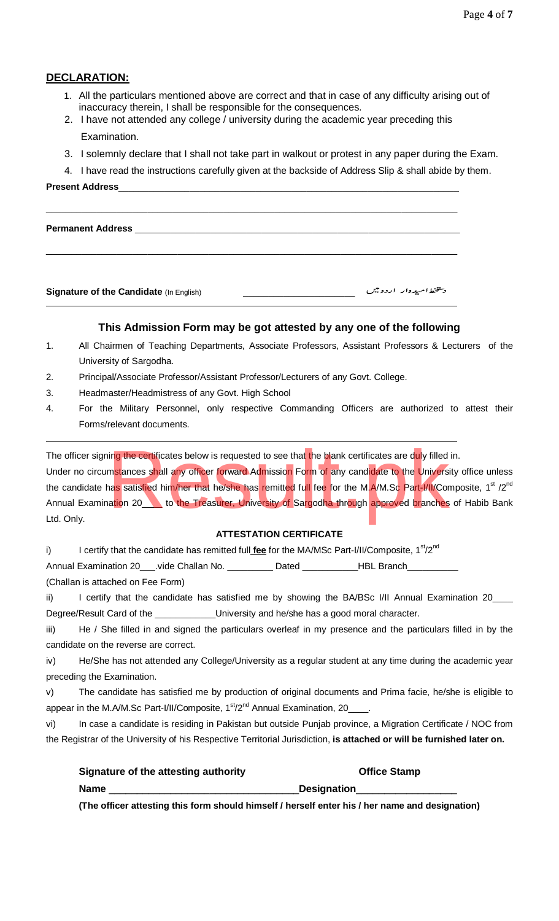#### **DECLARATION:**

- 1. All the particulars mentioned above are correct and that in case of any difficulty arising out of inaccuracy therein, I shall be responsible for the consequences.
- 2. I have not attended any college / university during the academic year preceding this Examination.

\_\_\_\_\_\_\_\_\_\_\_\_\_\_\_\_\_\_\_\_\_\_\_\_\_\_\_\_\_\_\_\_\_\_\_\_\_\_\_\_\_\_\_\_\_\_\_\_\_\_\_\_\_\_\_\_\_\_\_\_\_\_\_\_\_\_\_\_\_\_\_\_\_\_\_\_\_\_\_\_\_

\_\_\_\_\_\_\_\_\_\_\_\_\_\_\_\_\_\_\_\_\_\_\_\_\_\_\_\_\_\_\_\_\_\_\_\_\_\_\_\_\_\_\_\_\_\_\_\_\_\_\_\_\_\_\_\_\_\_\_\_\_\_\_\_\_\_\_\_\_\_\_\_\_\_\_\_\_\_\_\_\_

- 3. I solemnly declare that I shall not take part in walkout or protest in any paper during the Exam.
- 4. I have read the instructions carefully given at the backside of Address Slip & shall abide by them.

#### **Present Address**

Permanent Address \_

**Signature of the Candidate** (In English) \_\_\_\_\_\_\_\_\_\_\_\_\_\_\_\_\_\_\_\_\_\_

#### **This Admission Form may be got attested by any one of the following**

- 1. All Chairmen of Teaching Departments, Associate Professors, Assistant Professors & Lecturers of the University of Sargodha.
- 2. Principal/Associate Professor/Assistant Professor/Lecturers of any Govt. College.
- 3. Headmaster/Headmistress of any Govt. High School
- 4. For the Military Personnel, only respective Commanding Officers are authorized to attest their Forms/relevant documents.

The officer signing the certificates below is requested to see that the blank certificates are duly filled in.

Under no circumstances shall any officer forward Admission Form of any candidate to the University office unless the candidate has satisfied him/her that he/she has remitted full fee for the M.A/M.Sc Part-I/II/Composite, 1<sup>st</sup> /2<sup>nd</sup> Annual Examination 20\_\_\_\_ to the Treasurer, University of Sargodha through approved branches of Habib Bank Ltd. Only. ing the certificates below is requested to see that the blank certificates are duly filled<br>mstances shall any officer forward Admission Form of any candidate to the University<br>has satisfied him/her that he/she has remitted

#### **ATTESTATION CERTIFICATE**

i) I certify that the candidate has remitted full **fee** for the MA/MSc Part-I/II/Composite, 1<sup>st</sup>/2<sup>nd</sup>

Annual Examination 20\_\_\_\_.vide Challan No. \_\_\_\_\_\_\_\_\_\_ Dated \_\_\_\_\_\_\_\_\_\_\_HBL Branch\_\_\_

(Challan is attached on Fee Form)

ii) I certify that the candidate has satisfied me by showing the BA/BSc I/II Annual Examination 20\_ Degree/Result Card of the \_\_\_\_\_\_\_\_\_\_\_\_\_University and he/she has a good moral character.

iii) He / She filled in and signed the particulars overleaf in my presence and the particulars filled in by the candidate on the reverse are correct.

iv) He/She has not attended any College/University as a regular student at any time during the academic year preceding the Examination.

v) The candidate has satisfied me by production of original documents and Prima facie, he/she is eligible to appear in the M.A/M.Sc Part-I/II/Composite,  $1<sup>st</sup>/2<sup>nd</sup>$  Annual Examination, 20\_\_\_\_.

vi) In case a candidate is residing in Pakistan but outside Punjab province, a Migration Certificate / NOC from the Registrar of the University of his Respective Territorial Jurisdiction, **is attached or will be furnished later on.**

| Signature of the attesting authority | <b>Office Stamp</b> |
|--------------------------------------|---------------------|
| <b>Name</b>                          | <b>Designation</b>  |

**(The officer attesting this form should himself / herself enter his / her name and designation)**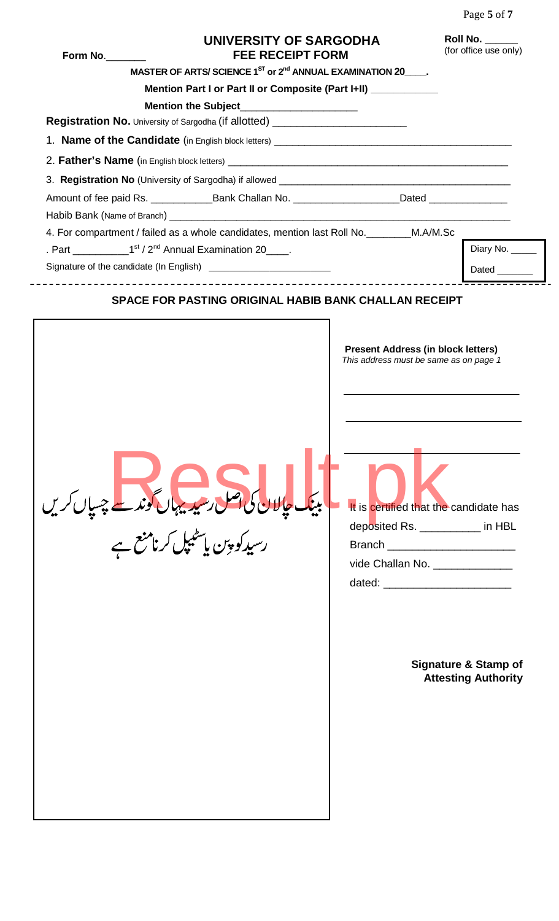| Form No. | UNIVERSITY OF SARGODHA<br><b>FEE RECEIPT FORM</b>                                                    |                                                                                                                                                                                                     | Roll No.<br>(for office use only)                             |
|----------|------------------------------------------------------------------------------------------------------|-----------------------------------------------------------------------------------------------------------------------------------------------------------------------------------------------------|---------------------------------------------------------------|
|          | MASTER OF ARTS/SCIENCE 1 <sup>ST</sup> or 2 <sup>nd</sup> ANNUAL EXAMINATION 20 .                    |                                                                                                                                                                                                     |                                                               |
|          | Mention Part I or Part II or Composite (Part I+II) __________                                        |                                                                                                                                                                                                     |                                                               |
|          | Mention the Subject__________________                                                                |                                                                                                                                                                                                     |                                                               |
|          | Registration No. University of Sargodha (if allotted) __________________________                     |                                                                                                                                                                                                     |                                                               |
|          |                                                                                                      |                                                                                                                                                                                                     |                                                               |
|          |                                                                                                      |                                                                                                                                                                                                     |                                                               |
|          |                                                                                                      |                                                                                                                                                                                                     |                                                               |
|          | Amount of fee paid Rs. ________________Bank Challan No. ______________________Dated ________________ |                                                                                                                                                                                                     |                                                               |
|          |                                                                                                      |                                                                                                                                                                                                     |                                                               |
|          | 4. For compartment / failed as a whole candidates, mention last Roll No. ________M.A/M.Sc            |                                                                                                                                                                                                     |                                                               |
|          |                                                                                                      |                                                                                                                                                                                                     | Diary No. $\frac{1}{\sqrt{2}}$                                |
|          | Signature of the candidate (In English) _____________________________                                |                                                                                                                                                                                                     | Dated                                                         |
|          | بینک حالان کی اصل رسیدیہاں گوند ہے<br>رسیدکو پین پاسٹیپل کرنامنع ہے                                  | <b>Present Address (in block letters)</b><br>This address must be same as on page 1<br>It is certified that the candidate has<br>deposited Rs. __________ in HBL<br>vide Challan No. ______________ | <b>Signature &amp; Stamp of</b><br><b>Attesting Authority</b> |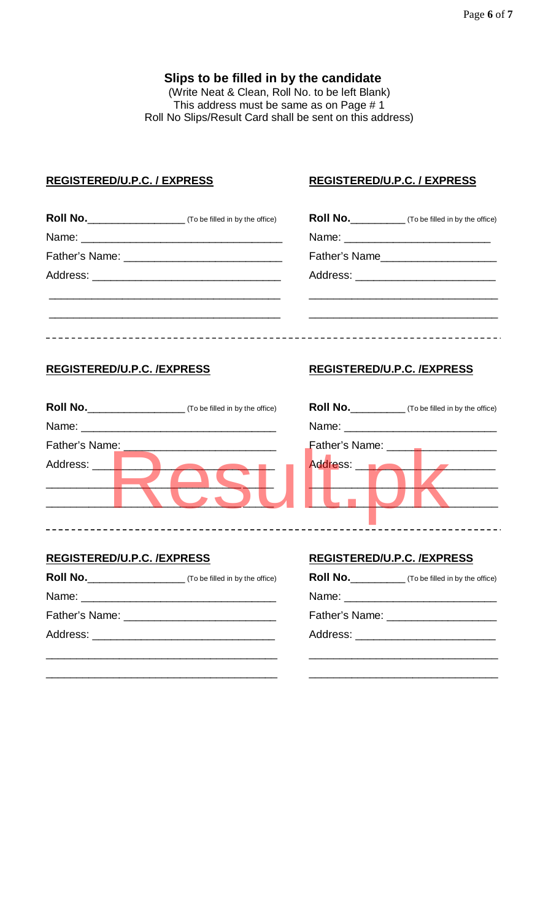#### **Slips to be filled in by the candidate**

(Write Neat & Clean, Roll No. to be left Blank) This address must be same as on Page # 1 Roll No Slips/Result Card shall be sent on this address)

#### **REGISTERED/U.P.C. / EXPRESS REGISTERED/U.P.C. / EXPRESS**

|  | <b>Roll No.</b> (To be filled in by the office) |  |
|--|-------------------------------------------------|--|
|  |                                                 |  |
|  | Father's Name                                   |  |
|  |                                                 |  |
|  |                                                 |  |
|  |                                                 |  |

\_\_\_\_\_\_\_\_\_\_\_\_\_\_\_\_\_\_\_\_\_\_\_\_\_\_\_\_\_\_\_\_\_\_\_\_\_\_ \_\_\_\_\_\_\_\_\_\_\_\_\_\_\_\_\_\_\_\_\_\_\_\_\_\_\_\_\_\_\_

### **REGISTERED/U.P.C. /EXPRESS REGISTERED/U.P.C. /EXPRESS**

| <b>Roll No.</b> | (To be filled in by the office) | <b>Roll No.</b>                                                                                                                                                                                                                | (To be filled in by the office) |
|-----------------|---------------------------------|--------------------------------------------------------------------------------------------------------------------------------------------------------------------------------------------------------------------------------|---------------------------------|
|                 |                                 | Name: when the contract of the contract of the contract of the contract of the contract of the contract of the contract of the contract of the contract of the contract of the contract of the contract of the contract of the |                                 |
| Father's Name:  |                                 | Father's Name: ______                                                                                                                                                                                                          |                                 |
| Address:        |                                 | Address: <b>B</b>                                                                                                                                                                                                              |                                 |
|                 |                                 |                                                                                                                                                                                                                                |                                 |
|                 |                                 |                                                                                                                                                                                                                                |                                 |

| Roll No.       | (To be filled in by the office) |
|----------------|---------------------------------|
| Name: ________ |                                 |
| Father's Name: |                                 |
| Address: __    |                                 |
|                |                                 |
|                |                                 |
|                |                                 |

#### **REGISTERED/U.P.C. /EXPRESS REGISTERED/U.P.C. /EXPRESS**

| Roll No. | (To be filled in by the office) | <b>Roll No.</b>                       | (To be filled in by the office) |
|----------|---------------------------------|---------------------------------------|---------------------------------|
|          |                                 |                                       |                                 |
|          |                                 | Father's Name: ____________________   |                                 |
| Address: |                                 | Address: ____________________________ |                                 |
|          |                                 |                                       |                                 |

| Roll No._________________ | (To be filled in by the office) | Roll No._________ | (To be filled in by the office)       |
|---------------------------|---------------------------------|-------------------|---------------------------------------|
|                           |                                 |                   |                                       |
|                           |                                 |                   | Father's Name: ______________________ |
|                           |                                 |                   |                                       |
|                           |                                 |                   |                                       |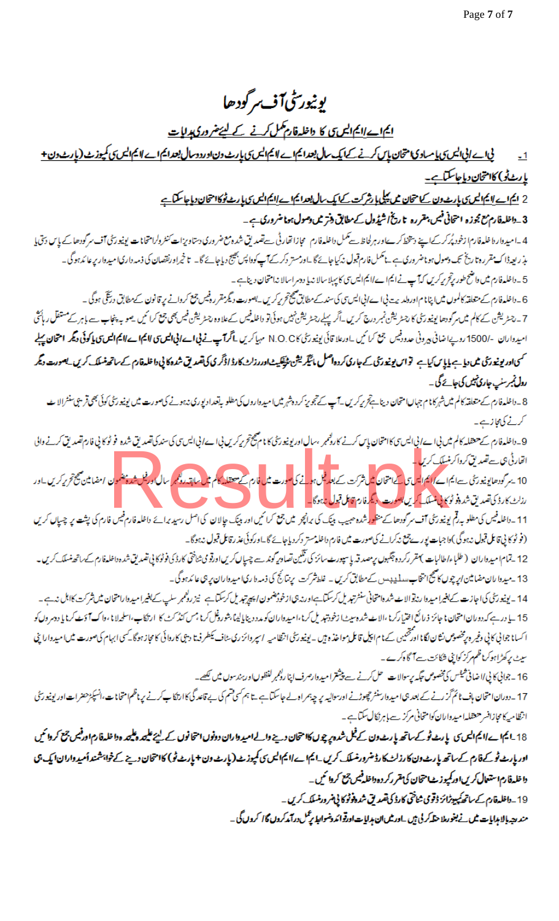## **يونيورى<sup>ن</sup>ى1ن**ى مرگودھا

### <u>ایما ے لایم ایس کا داخلہ فار مکمل کرنے کے لیئے ضروری ہدایات</u>

<u>ئی اے انی ایس ی یا مسادی امتحان پاس کرنے کے ایک سال بعد ایم اے لایم ایس ی پارٹ دن اورد دسال بعد ایم ایس کی کارٹ دی کے ایران دن+</u>  $-1$ <u>یارٹ ٹی) کا متحان دیا جاسکتا ہے۔</u>

2 <u>ایمارے لایمالیں کی پارٹ ون کے متحان میں پیلی ایشرکت کے ایک سال بعدایمارے لایم الیں کی پارٹ ٹوکا متحان دیا جاسکتا ہے</u>

3 ۔ داخلہ فارم مع مجوزہ امتحانی فہمی، مقررہ تا ریخ اشیڈول کے مطابق دنتر میں وصول ہونا ضروری ہے ۔

4 \_اميدوار دا غله فارم ازخود پُرکر کےاپنے دیپخط کر سےاور ہرلحاظ سے تعلمان اس سے تعلیمات شرور مع ضروری دستاویز اسے سنروارامتحانات یونیو رسمی میں سرکودھا کے پاس دستی یا مذِ ریعہ ڈاک مقررہ تا ریخ تک دصول ہوماضر وری ہے ۔ناسمل فارم قبول ندکیا جائے گا ۔اورمستر دکر کے آپ کا پھراورنقصان کی ذمہ داری امیدوار پر عائد ہوگی۔ 5۔داخلہ فارم میں واضح طور پرتجریر کریں کہ آپ نے ایم اے لایم ایس سی کا پہلاسالا نہ یا دوسر اسالا ندامتحان دیناہے۔

6۔داخلہ فارم کے متعلقہ کالموں میں اپنا م اورولدیت بی اے اپی ایس سی کسی سیند کے مطابق صحیح کرونگر میں جی کروانے پر قانون کے مطابق دریتی ہوگی۔ 7۔ رحٹریشن کے کالم میں مرکودھا یونیوریٹی کا رحشریشن کریں۔اگر پہلے رحٹریشن نہیں ہوئی تو دعاءہ وہ رحشریشن فیں بھی جمع کرائیں ۔ صوبہ پنجاب سے باہر کے مستقل رہائتی امیدواران -/1500 روپا ضافی پروٹی حدودفیس چیخ کرائیں۔اورعلا قائی یونیورٹی N.O.CK مہیا کرتا ہے <mark>لیا اسے الیالیسی کا ایم ایس کی اکوئی دیگر امتحان پہلے</mark> حسمی اوریونیورٹی میں دیاہے یا پاس کیاہ تو اس یونیورٹی کے جاری کردہ اصل مائیکریشن ٹی دائر کی کی تھائی کی اعلاقارم کے ساتھ ٹسلک کریں۔ یعورت دیگر

### رول ٹمبرسلپ جاری ٹیس کی جائے گی۔ 8۔داخلہ فارم کے متعلقہ کالم میں شہرکانا م جہاں امتحان دیناہے تر پر کرتے ہیں کہ میں اس دار کر کے دوران پر ری ریس میں این پر اس کے متعلقہ کا کہ پھی قریبی سنٹرالا ٹ

کرنے کی مجازیے۔

9۔داخلہ فارم سے حتفلہ کالم میں بی اے انی اس کا امتحان پاس کرنے کارشی پیچا ہو کہ کرنے کی اس کی اس کے ان کے انداز<br>اتحارثی بی سے تعدیق سے ایم اس کی ایم اس کی استحان میں تعدیل ہو گیا ہے۔ اس کے اس کے ایم ایم کی اس کی اس کے تعد

(فو ٹو کا پی قائل قبول نہ ہوگی )وا جبات پور سے پی زکرانے کی صورت میں فارم داخلہ مستر دکر دیا جائے گا۔ورکوئی عذر قائل قبول نہ ہوگا۔

12 \_تمام|میدواران ( طلباءاطالبات )مقررکرد ہ چکہوں پرمصدقہ پاسپورٹ سائز کی تقلین تصاویر کوئی سے چیپال کریں اورقو می ثانتی کارڈ کی فوٹوکا پی تصدیق شدہ داخلہ فارم کے ساتھ مسلک کریں۔ 13 ۔میدوا ران مضامین ارپہ چوں کا صحیح انتخاب مسلیدہ میں کے مطابق کریں ۔ غلط شرکت پر بتائج کی ذمہ دا ریا میدواران پہ ہی عائدہوگی۔

14 - يونيو ريحى كى اجازت كے بغيرا ميدوا رندوا لائے شروامتخانى سنشرتيد بل كرسكتا ہے جو روگر کر سا سے اسل سے بغيرا ميدوارامتحان ميں شركت كااہل ندہے۔ 15 ـ يا در ہے کہ دوران امتحان ما جائز ذرائع اختیارکرنا ،الا ئے شدہ میں از کرنا ،امیدواران کو مدد دینایالیہا بشرورفل کرنا مس کنڈ کٹ کا ارتکاب،اسلحدلانا ، واک آؤٹ کرنا یا دوسروں کو ا کسانا جواني کاني وغیر ه پخصوص نثان لگانا اور پختيبن کے نام انکار تا میں اس کی اس کے ان کی اس کا میں کاروائی کامجاز ہوگا۔کسی ابہام کی صورت میں امیدوارا پی سیٹ پر کھڑاہوکراظم مرکز کواپی شکائت۔ ہے آگاہ کرے۔

16 - جواني كا پي/اضافي هيٺس كي مخصوص تبكه پرسوالات حل كرنے سے پيشتر اميدوارصرف اپنا راہم پر لفظوںاور بندسوں ميں لكھے۔

17 ۔دوران امتحان ہاف ٹائم گز رنے کے بعد ہی امیدوارسنٹر حیوڑ نے اورسوالیہ پر چہ ہمراہ اسے کرنے کا انکا ارتکا ب کرنے پر ناظم امتحانات،انسپکڑھنر ات اور یونیورسٹی انظامیہ کامچازافسر حنقلہ امیدواران کوامتحانی مرکز سے با ہرنکال سکتاہے۔

18\_ايم اسے اايم اليں كا پارٹ ٹو كے ساتھ پارٹ ون كے فيل شدہ پر چوں كاا حمان درجے والے اميد واران دونوں احمانوں كے ليۓ عليھ وعليھ وداخلہ فارم اورفيس جمع كروائميں اور پارٹ ٹوکرفارم کے ساتھ پارٹ ون کارزلٹ کارڈ ضرورمسلک کریں۔ایم اے ایم ایس ی کمپوزٹ (پارٹ ون + پارٹ ٹو) کا متحان دینے کے خواہشمند أمیدواران ایک پی دا خلہ فارم استعال کریں اور کمپوز ٹامتحان کی تقرر کر دہ داخلہ فیس جمع کروا تھی۔ 19 \_ داخلہ قارم کے ساتھ کمپیوٹرائز ڈتومی شاختی کارڈ کی تقعدیق شدہ فوٹو کا پی ضر ورمنسلک کریں ۔

مند رحيد بالا مبيايات ميں نے بغورملا حتكہ كر لي بيں ـاور ميں ان ہدايات اورتو ائد دضوابيا پر عمل درآمد كروں گا كروں گى ۔